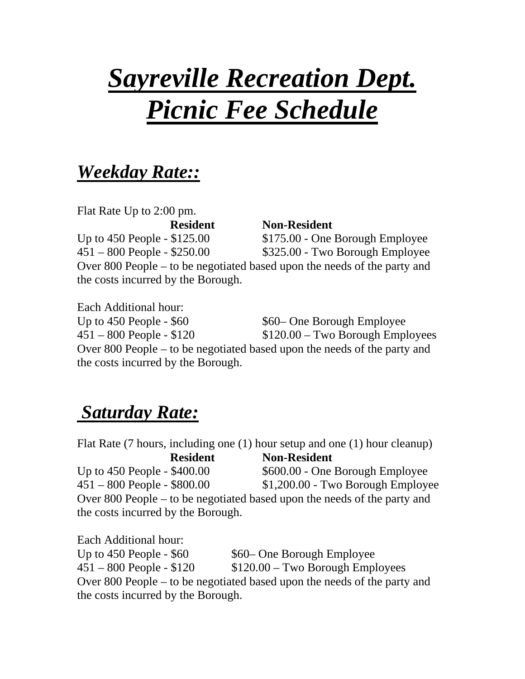# *Sayreville Recreation Dept. Picnic Fee Schedule*

# *Weekday Rate::*

Flat Rate Up to 2:00 pm.  **Resident Non-Resident**  Up to  $450$  People  $- $125.00$   $$175.00$   $-$  One Borough Employee 451 – 800 People - \$250.00 \$325.00 - Two Borough Employee Over 800 People – to be negotiated based upon the needs of the party and the costs incurred by the Borough.

Each Additional hour: Up to  $450$  People -  $$60$   $$60-$  One Borough Employee  $451 - 800$  People - \$120  $$120.00 - Two$  Borough Employees Over 800 People – to be negotiated based upon the needs of the party and the costs incurred by the Borough.

# *Saturday Rate:*

Flat Rate (7 hours, including one (1) hour setup and one (1) hour cleanup)  **Resident Non-Resident**  Up to  $450$  People -  $$400.00$   $$600.00$  - One Borough Employee 451 – 800 People - \$800.00 \$1,200.00 - Two Borough Employee Over 800 People – to be negotiated based upon the needs of the party and the costs incurred by the Borough.

Each Additional hour: Up to  $450$  People -  $$60$   $$60$  One Borough Employee  $451 - 800$  People - \$120  $$120.00 - Two$  Borough Employees Over 800 People – to be negotiated based upon the needs of the party and the costs incurred by the Borough.